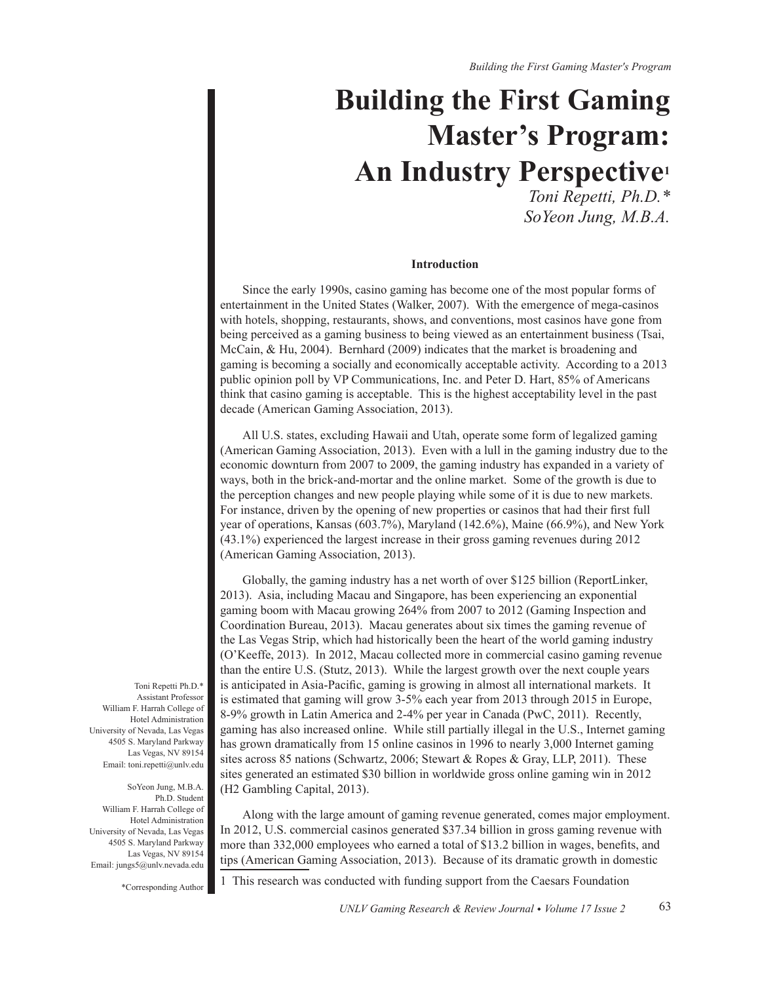*Building the First Gaming Master's Program*

# **Building the First Gaming Master's Program: An Industry Perspective1**

*Toni Repetti, Ph.D.\* SoYeon Jung, M.B.A.*

## **Introduction**

Since the early 1990s, casino gaming has become one of the most popular forms of entertainment in the United States (Walker, 2007). With the emergence of mega-casinos with hotels, shopping, restaurants, shows, and conventions, most casinos have gone from being perceived as a gaming business to being viewed as an entertainment business (Tsai, McCain, & Hu, 2004). Bernhard (2009) indicates that the market is broadening and gaming is becoming a socially and economically acceptable activity. According to a 2013 public opinion poll by VP Communications, Inc. and Peter D. Hart, 85% of Americans think that casino gaming is acceptable. This is the highest acceptability level in the past decade (American Gaming Association, 2013).

All U.S. states, excluding Hawaii and Utah, operate some form of legalized gaming (American Gaming Association, 2013). Even with a lull in the gaming industry due to the economic downturn from 2007 to 2009, the gaming industry has expanded in a variety of ways, both in the brick-and-mortar and the online market. Some of the growth is due to the perception changes and new people playing while some of it is due to new markets. For instance, driven by the opening of new properties or casinos that had their first full year of operations, Kansas (603.7%), Maryland (142.6%), Maine (66.9%), and New York  $(43.1\%)$  experienced the largest increase in their gross gaming revenues during  $2012$ (American Gaming Association, 2013).

Globally, the gaming industry has a net worth of over \$125 billion (ReportLinker, 2013). Asia, including Macau and Singapore, has been experiencing an exponential gaming boom with Macau growing 264% from 2007 to 2012 (Gaming Inspection and Coordination Bureau, 2013). Macau generates about six times the gaming revenue of the Las Vegas Strip, which had historically been the heart of the world gaming industry (O'Keeffe, 2013). In 2012, Macau collected more in commercial casino gaming revenue than the entire U.S. (Stutz, 2013). While the largest growth over the next couple years is anticipated in Asia-Pacific, gaming is growing in almost all international markets. It is estimated that gaming will grow 3-5% each year from 2013 through 2015 in Europe,  $8-9\%$  growth in Latin America and 2-4% per year in Canada (PwC, 2011). Recently, gaming has also increased online. While still partially illegal in the U.S., Internet gaming has grown dramatically from 15 online casinos in 1996 to nearly 3,000 Internet gaming sites across 85 nations (Schwartz, 2006; Stewart & Ropes & Gray, LLP, 2011). These sites generated an estimated \$30 billion in worldwide gross online gaming win in 2012  $(H2$  Gambling Capital, 2013).

Along with the large amount of gaming revenue generated, comes major employment. In 2012, U.S. commercial casinos generated \$37.34 billion in gross gaming revenue with more than 332,000 employees who earned a total of \$13.2 billion in wages, benefits, and tips (American Gaming Association, 2013). Because of its dramatic growth in domestic

Toni Repetti Ph.D.\* Assistant Professor William F. Harrah College of Hotel Administration University of Nevada, Las Vegas 4505 S. Maryland Parkway Las Vegas, NV 89154 Email: toni.repetti@unlv.edu

SoYeon Jung, M.B.A. Ph<sub>D</sub> Student William F. Harrah College of Hotel Administration University of Nevada, Las Vegas 4505 S. Maryland Parkway Las Vegas, NV 89154 Email: jungs5@unlv.nevada.edu

\*Corresponding Author

1 This research was conducted with funding support from the Caesars Foundation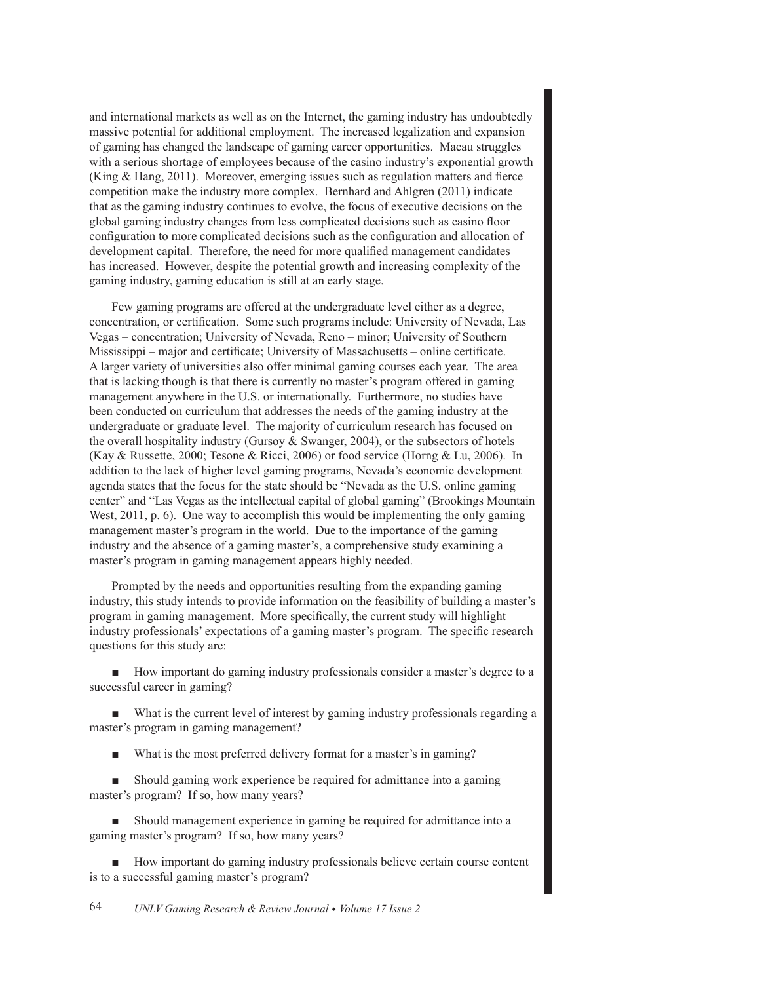and international markets as well as on the Internet, the gaming industry has undoubtedly massive potential for additional employment. The increased legalization and expansion of gaming has changed the landscape of gaming career opportunities. Macau struggles with a serious shortage of employees because of the casino industry's exponential growth (King & Hang, 2011). Moreover, emerging issues such as regulation matters and fierce competition make the industry more complex. Bernhard and Ahlgren (2011) indicate that as the gaming industry continues to evolve, the focus of executive decisions on the global gaming industry changes from less complicated decisions such as casino floor configuration to more complicated decisions such as the configuration and allocation of development capital. Therefore, the need for more qualified management candidates has increased. However, despite the potential growth and increasing complexity of the gaming industry, gaming education is still at an early stage.

Few gaming programs are offered at the undergraduate level either as a degree, concentration, or certification. Some such programs include: University of Nevada, Las Vegas – concentration; University of Nevada, Reno – minor; University of Southern Mississippi – major and certificate; University of Massachusetts – online certificate. A larger variety of universities also offer minimal gaming courses each year. The area that is lacking though is that there is currently no master's program offered in gaming management anywhere in the U.S. or internationally. Furthermore, no studies have been conducted on curriculum that addresses the needs of the gaming industry at the undergraduate or graduate level. The majority of curriculum research has focused on the overall hospitality industry (Gursoy & Swanger, 2004), or the subsectors of hotels (Kay & Russette, 2000; Tesone & Ricci, 2006) or food service (Horng & Lu, 2006). In addition to the lack of higher level gaming programs, Nevada's economic development agenda states that the focus for the state should be "Nevada as the U.S. online gaming center" and "Las Vegas as the intellectual capital of global gaming" (Brookings Mountain West,  $2011$ , p. 6). One way to accomplish this would be implementing the only gaming management master's program in the world. Due to the importance of the gaming industry and the absence of a gaming master's, a comprehensive study examining a master's program in gaming management appears highly needed.

Prompted by the needs and opportunities resulting from the expanding gaming industry, this study intends to provide information on the feasibility of building a master's program in gaming management. More specifically, the current study will highlight industry professionals' expectations of a gaming master's program. The specific research questions for this study are:

• How important do gaming industry professionals consider a master's degree to a successful career in gaming?

What is the current level of interest by gaming industry professionals regarding a master's program in gaming management?

What is the most preferred delivery format for a master's in gaming?

Should gaming work experience be required for admittance into a gaming master's program? If so, how many years?

• Should management experience in gaming be required for admittance into a gaming master's program? If so, how many years?

• How important do gaming industry professionals believe certain course content is to a successful gaming master's program?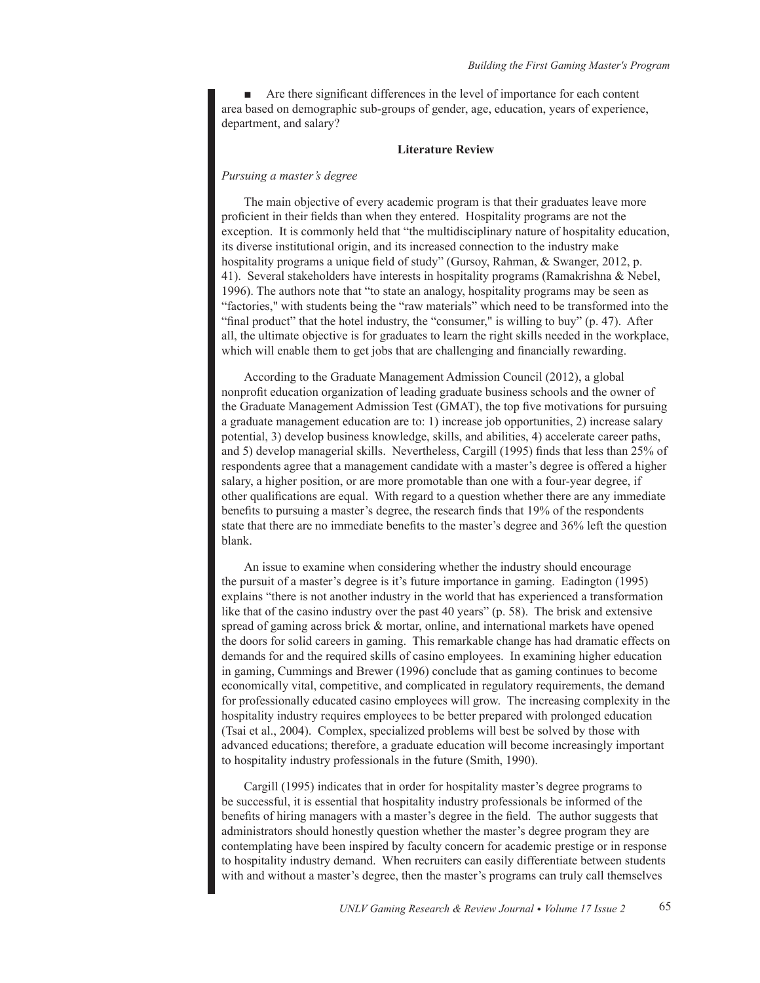$\blacksquare$  Are there significant differences in the level of importance for each content area based on demographic sub-groups of gender, age, education, years of experience, department, and salary?

## **Literature Review**

## *Pursuing a master's degree*

The main objective of every academic program is that their graduates leave more proficient in their fields than when they entered. Hospitality programs are not the exception. It is commonly held that "the multidisciplinary nature of hospitality education, its diverse institutional origin, and its increased connection to the industry make hospitality programs a unique field of study" (Gursoy, Rahman, & Swanger, 2012, p. 41). Several stakeholders have interests in hospitality programs (Ramakrishna & Nebel, 1996). The authors note that "to state an analogy, hospitality programs may be seen as "factories," with students being the "raw materials" which need to be transformed into the "final product" that the hotel industry, the "consumer," is willing to buy" (p. 47). After all, the ultimate objective is for graduates to learn the right skills needed in the workplace, which will enable them to get jobs that are challenging and financially rewarding.

According to the Graduate Management Admission Council (2012), a global nonprofit education organization of leading graduate business schools and the owner of the Graduate Management Admission Test (GMAT), the top five motivations for pursuing a graduate management education are to: 1) increase job opportunities, 2) increase salary potential, 3) develop business knowledge, skills, and abilities, 4) accelerate career paths, and 5) develop managerial skills. Nevertheless, Cargill (1995) finds that less than 25% of respondents agree that a management candidate with a master's degree is offered a higher salary, a higher position, or are more promotable than one with a four-year degree, if other qualifications are equal. With regard to a question whether there are any immediate benefits to pursuing a master's degree, the research finds that 19% of the respondents state that there are no immediate benefits to the master's degree and 36% left the question blank.

An issue to examine when considering whether the industry should encourage the pursuit of a master's degree is it's future importance in gaming. Eadington (1995) explains "there is not another industry in the world that has experienced a transformation like that of the casino industry over the past 40 years" (p. 58). The brisk and extensive spread of gaming across brick  $\&$  mortar, online, and international markets have opened the doors for solid careers in gaming. This remarkable change has had dramatic effects on demands for and the required skills of casino employees. In examining higher education in gaming, Cummings and Brewer (1996) conclude that as gaming continues to become economically vital, competitive, and complicated in regulatory requirements, the demand for professionally educated casino employees will grow. The increasing complexity in the hospitality industry requires employees to be better prepared with prolonged education (Tsai et al., 2004). Complex, specialized problems will best be solved by those with advanced educations; therefore, a graduate education will become increasingly important to hospitality industry professionals in the future (Smith, 1990).

Cargill (1995) indicates that in order for hospitality master's degree programs to be successful, it is essential that hospitality industry professionals be informed of the benefits of hiring managers with a master's degree in the field. The author suggests that administrators should honestly question whether the master's degree program they are contemplating have been inspired by faculty concern for academic prestige or in response to hospitality industry demand. When recruiters can easily differentiate between students with and without a master's degree, then the master's programs can truly call themselves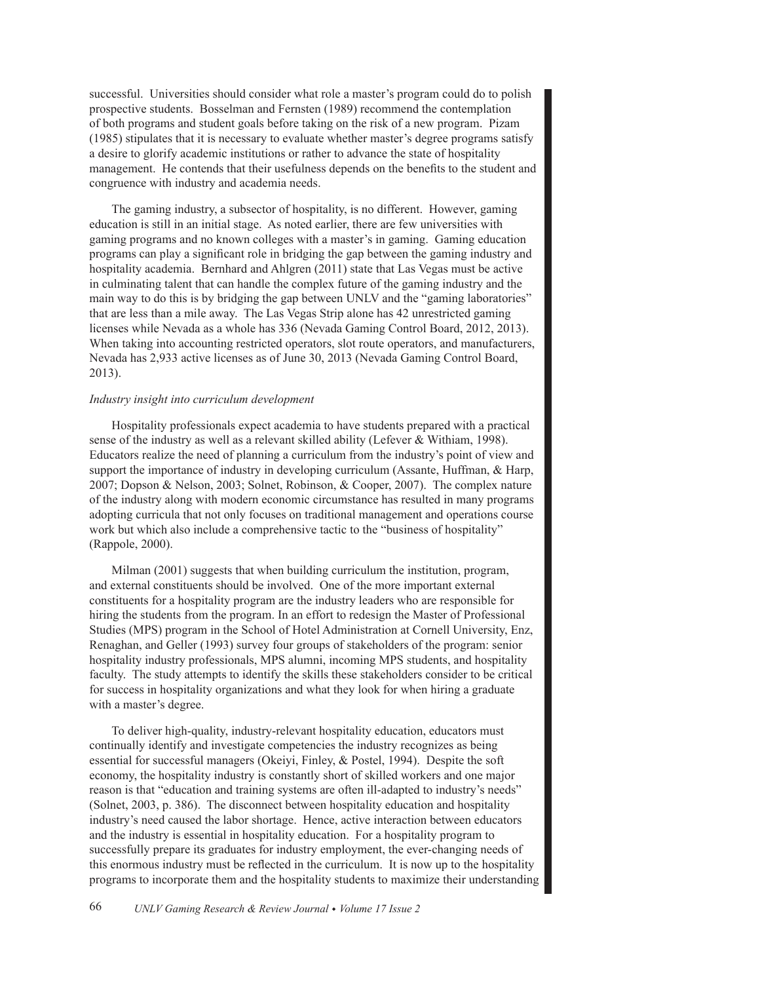successful. Universities should consider what role a master's program could do to polish prospective students. Bosselman and Fernsten (1989) recommend the contemplation of both programs and student goals before taking on the risk of a new program. Pizam  $(1985)$  stipulates that it is necessary to evaluate whether master's degree programs satisfy a desire to glorify academic institutions or rather to advance the state of hospitality management. He contends that their usefulness depends on the benefits to the student and congruence with industry and academia needs.

The gaming industry, a subsector of hospitality, is no different. However, gaming education is still in an initial stage. As noted earlier, there are few universities with gaming programs and no known colleges with a master's in gaming. Gaming education programs can play a significant role in bridging the gap between the gaming industry and hospitality academia. Bernhard and Ahlgren (2011) state that Las Vegas must be active in culminating talent that can handle the complex future of the gaming industry and the main way to do this is by bridging the gap between UNLV and the "gaming laboratories" that are less than a mile away. The Las Vegas Strip alone has 42 unrestricted gaming licenses while Nevada as a whole has 336 (Nevada Gaming Control Board, 2012, 2013). When taking into accounting restricted operators, slot route operators, and manufacturers, Nevada has 2,933 active licenses as of June 30, 2013 (Nevada Gaming Control Board, 2013).

# *Industry insight into curriculum development*

Hospitality professionals expect academia to have students prepared with a practical sense of the industry as well as a relevant skilled ability (Lefever & Withiam, 1998). Educators realize the need of planning a curriculum from the industry's point of view and support the importance of industry in developing curriculum (Assante, Huffman, & Harp, 2007; Dopson & Nelson, 2003; Solnet, Robinson, & Cooper, 2007). The complex nature of the industry along with modern economic circumstance has resulted in many programs adopting curricula that not only focuses on traditional management and operations course work but which also include a comprehensive tactic to the "business of hospitality" (Rappole, 2000).

Milman (2001) suggests that when building curriculum the institution, program, and external constituents should be involved. One of the more important external constituents for a hospitality program are the industry leaders who are responsible for hiring the students from the program. In an effort to redesign the Master of Professional Studies (MPS) program in the School of Hotel Administration at Cornell University, Enz. Renaghan, and Geller (1993) survey four groups of stakeholders of the program: senior hospitality industry professionals, MPS alumni, incoming MPS students, and hospitality faculty. The study attempts to identify the skills these stakeholders consider to be critical for success in hospitality organizations and what they look for when hiring a graduate with a master's degree.

To deliver high-quality, industry-relevant hospitality education, educators must continually identify and investigate competencies the industry recognizes as being essential for successful managers (Okeiyi, Finley, & Postel, 1994). Despite the soft economy, the hospitality industry is constantly short of skilled workers and one major reason is that "education and training systems are often ill-adapted to industry's needs" (Solnet, 2003, p. 386). The disconnect between hospitality education and hospitality industry's need caused the labor shortage. Hence, active interaction between educators and the industry is essential in hospitality education. For a hospitality program to successfully prepare its graduates for industry employment, the ever-changing needs of this enormous industry must be reflected in the curriculum. It is now up to the hospitality programs to incorporate them and the hospitality students to maximize their understanding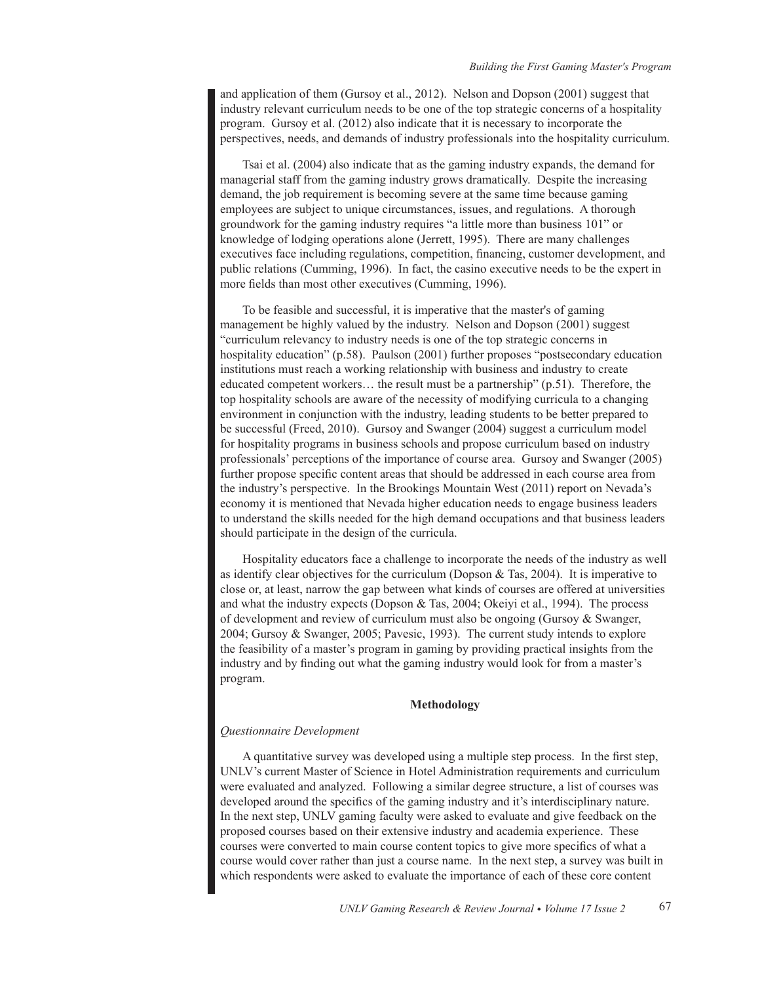and application of them (Gursoy et al., 2012). Nelson and Dopson  $(2001)$  suggest that industry relevant curriculum needs to be one of the top strategic concerns of a hospitality program. Gursoy et al.  $(2012)$  also indicate that it is necessary to incorporate the perspectives, needs, and demands of industry professionals into the hospitality curriculum.

Tsai et al. (2004) also indicate that as the gaming industry expands, the demand for managerial staff from the gaming industry grows dramatically. Despite the increasing demand, the job requirement is becoming severe at the same time because gaming employees are subject to unique circumstances, issues, and regulations. A thorough groundwork for the gaming industry requires "a little more than business 101" or knowledge of lodging operations alone (Jerrett, 1995). There are many challenges executives face including regulations, competition, financing, customer development, and public relations (Cumming, 1996). In fact, the casino executive needs to be the expert in more fields than most other executives (Cumming, 1996).

To be feasible and successful, it is imperative that the master's of gaming management be highly valued by the industry. Nelson and Dopson  $(2001)$  suggest "curriculum relevancy to industry needs is one of the top strategic concerns in hospitality education" (p.58). Paulson (2001) further proposes "postsecondary education institutions must reach a working relationship with business and industry to create educated competent workers... the result must be a partnership" (p.51). Therefore, the top hospitality schools are aware of the necessity of modifying curricula to a changing environment in conjunction with the industry, leading students to be better prepared to be successful (Freed, 2010). Gursoy and Swanger (2004) suggest a curriculum model for hospitality programs in business schools and propose curriculum based on industry professionals' perceptions of the importance of course area. Gursoy and Swanger (2005) further propose specific content areas that should be addressed in each course area from the industry's perspective. In the Brookings Mountain West  $(2011)$  report on Nevada's economy it is mentioned that Nevada higher education needs to engage business leaders to understand the skills needed for the high demand occupations and that business leaders should participate in the design of the curricula.

Hospitality educators face a challenge to incorporate the needs of the industry as well as identify clear objectives for the curriculum (Dopson & Tas, 2004). It is imperative to close or, at least, narrow the gap between what kinds of courses are offered at universities and what the industry expects (Dopson & Tas, 2004; Okeiyi et al., 1994). The process of development and review of curriculum must also be ongoing (Gursoy  $\&$  Swanger, 2004; Gursoy & Swanger, 2005; Pavesic, 1993). The current study intends to explore the feasibility of a master's program in gaming by providing practical insights from the industry and by finding out what the gaming industry would look for from a master's program.

# **Methodology**

# *Questionnaire Development*

A quantitative survey was developed using a multiple step process. In the first step, UNLV's current Master of Science in Hotel Administration requirements and curriculum were evaluated and analyzed. Following a similar degree structure, a list of courses was developed around the specifics of the gaming industry and it's interdisciplinary nature. In the next step, UNLV gaming faculty were asked to evaluate and give feedback on the proposed courses based on their extensive industry and academia experience. These courses were converted to main course content topics to give more specifics of what a course would cover rather than just a course name. In the next step, a survey was built in which respondents were asked to evaluate the importance of each of these core content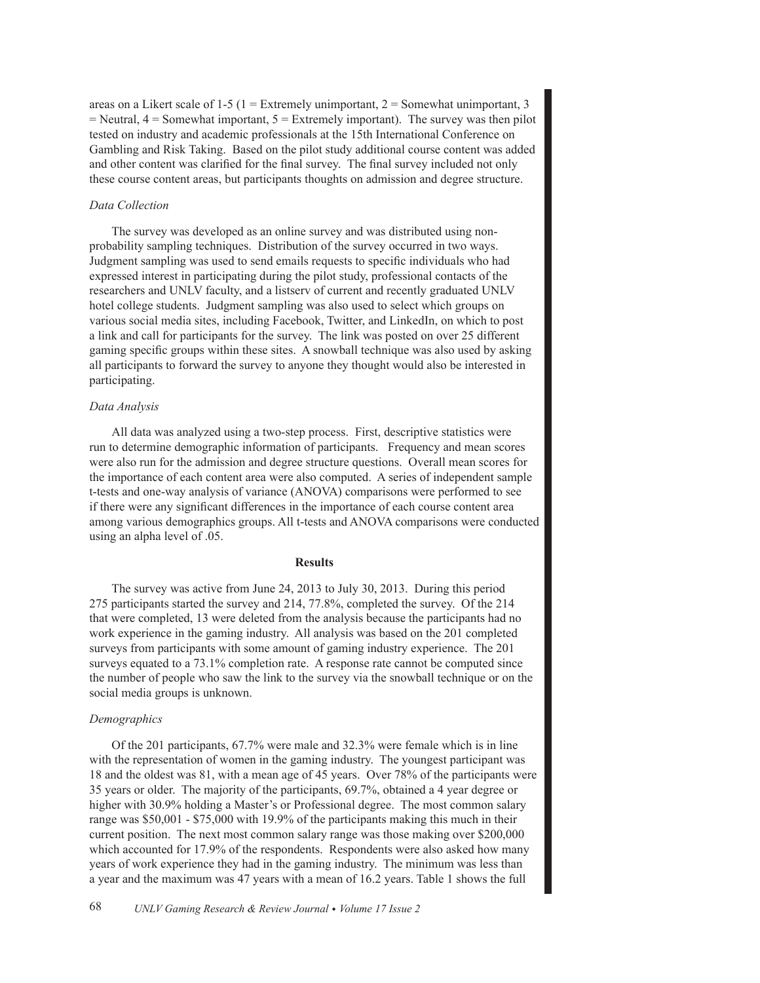areas on a Likert scale of 1-5 (1 = Extremely unimportant, 2 = Somewhat unimportant, 3  $=$  Neutral,  $4 =$  Somewhat important,  $5 =$  Extremely important). The survey was then pilot tested on industry and academic professionals at the 15th International Conference on Gambling and Risk Taking. Based on the pilot study additional course content was added and other content was clarified for the final survey. The final survey included not only these course content areas, but participants thoughts on admission and degree structure.

## *Data Collection*

The survey was developed as an online survey and was distributed using nonprobability sampling techniques. Distribution of the survey occurred in two ways. Judgment sampling was used to send emails requests to specific individuals who had expressed interest in participating during the pilot study, professional contacts of the researchers and UNLV faculty, and a listsery of current and recently graduated UNLV hotel college students. Judgment sampling was also used to select which groups on various social media sites, including Facebook, Twitter, and LinkedIn, on which to post a link and call for participants for the survey. The link was posted on over 25 different gaming specific groups within these sites. A snowball technique was also used by asking all participants to forward the survey to anyone they thought would also be interested in participating.

# *Data Analysis*

All data was analyzed using a two-step process. First, descriptive statistics were run to determine demographic information of participants. Frequency and mean scores were also run for the admission and degree structure questions. Overall mean scores for the importance of each content area were also computed. A series of independent sample t-tests and one-way analysis of variance (ANOVA) comparisons were performed to see If there were any significant differences in the importance of each course content area among various demographics groups. All t-tests and ANOVA comparisons were conducted using an alpha level of .05.

#### **Results**

The survey was active from June 24, 2013 to July 30, 2013. During this period 275 participants started the survey and 214, 77.8%, completed the survey. Of the 214 that were completed, 13 were deleted from the analysis because the participants had no work experience in the gaming industry. All analysis was based on the 201 completed surveys from participants with some amount of gaming industry experience. The  $201$ surveys equated to a  $73.1\%$  completion rate. A response rate cannot be computed since the number of people who saw the link to the survey via the snowball technique or on the social media groups is unknown.

# *Demographics*

Of the 201 participants,  $67.7\%$  were male and 32.3% were female which is in line with the representation of women in the gaming industry. The youngest participant was 18 and the oldest was 81, with a mean age of 45 years. Over 78% of the participants were 35 years or older. The majority of the participants, 69.7%, obtained a 4 year degree or higher with 30.9% holding a Master's or Professional degree. The most common salary range was  $$50,001 - $75,000$  with 19.9% of the participants making this much in their current position. The next most common salary range was those making over  $$200,000$ which accounted for 17.9% of the respondents. Respondents were also asked how many years of work experience they had in the gaming industry. The minimum was less than a year and the maximum was 47 years with a mean of 16.2 years. Table 1 shows the full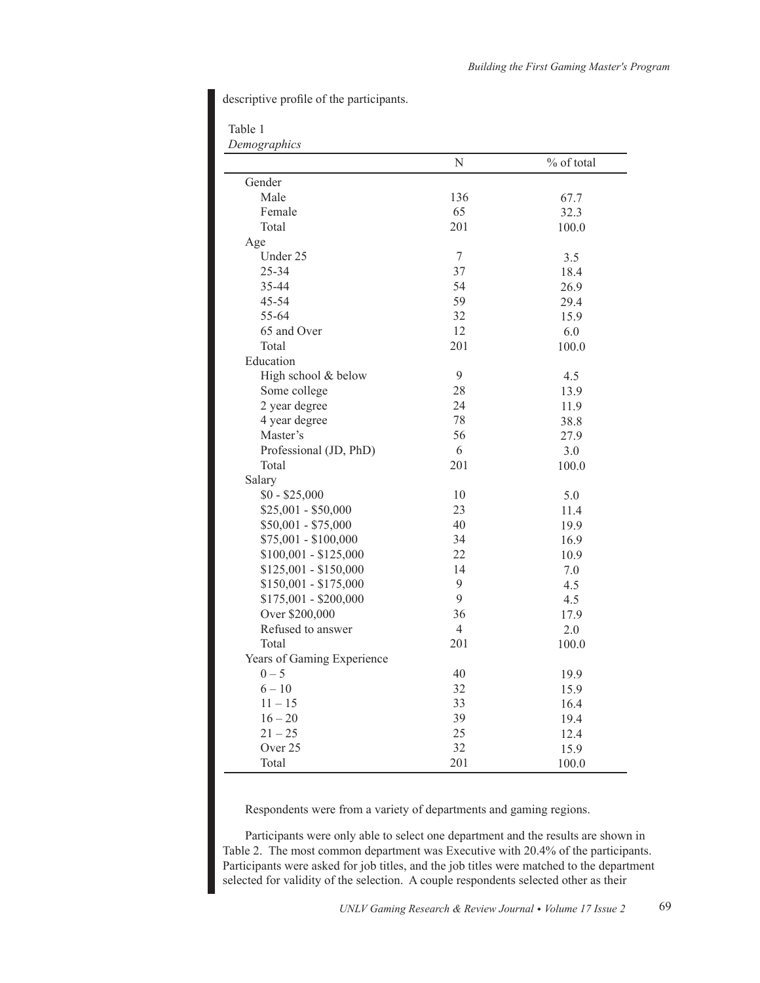descriptive profile of the participants.

Table 1

*Demographics*

|                            | N              | % of total |
|----------------------------|----------------|------------|
| Gender                     |                |            |
| Male                       | 136            | 67.7       |
| Female                     | 65             | 32.3       |
| Total                      | 201            | 100.0      |
| Age                        |                |            |
| Under 25                   | $\overline{7}$ | 3.5        |
| 25-34                      | 37             | 18.4       |
| 35-44                      | 54             | 26.9       |
| 45-54                      | 59             | 29.4       |
| 55-64                      | 32             | 15.9       |
| 65 and Over                | 12             | 6.0        |
| Total                      | 201            | 100.0      |
| Education                  |                |            |
| High school & below        | 9              | 4.5        |
| Some college               | 28             | 13.9       |
| 2 year degree              | 24             | 11.9       |
| 4 year degree              | 78             | 38.8       |
| Master's                   | 56             | 27.9       |
| Professional (JD, PhD)     | 6              | 3.0        |
| Total                      | 201            | 100.0      |
| Salary                     |                |            |
| $$0 - $25,000$             | 10             | 5.0        |
| $$25,001 - $50,000$        | 23             | 11.4       |
| $$50,001 - $75,000$        | 40             | 19.9       |
| \$75,001 - \$100,000       | 34             | 16.9       |
| $$100,001 - $125,000$      | 22             | 10.9       |
| $$125,001 - $150,000$      | 14             | 7.0        |
| $$150,001 - $175,000$      | 9              | 4.5        |
| $$175,001 - $200,000$      | 9              | 4.5        |
| Over \$200,000             | 36             | 17.9       |
| Refused to answer          | $\overline{4}$ | 2.0        |
| Total                      | 201            | 100.0      |
| Years of Gaming Experience |                |            |
| $0 - 5$                    | 40             | 19.9       |
| $6 - 10$                   | 32             | 15.9       |
| $11 - 15$                  | 33             | 16.4       |
| $16 - 20$                  | 39             | 19.4       |
| $21 - 25$                  | 25             | 12.4       |
| Over 25                    | 32             | 15.9       |
| Total                      | 201            | 100.0      |

Respondents were from a variety of departments and gaming regions.

Participants were only able to select one department and the results are shown in Table 2. The most common department was Executive with 20.4% of the participants. Participants were asked for job titles, and the job titles were matched to the department selected for validity of the selection. A couple respondents selected other as their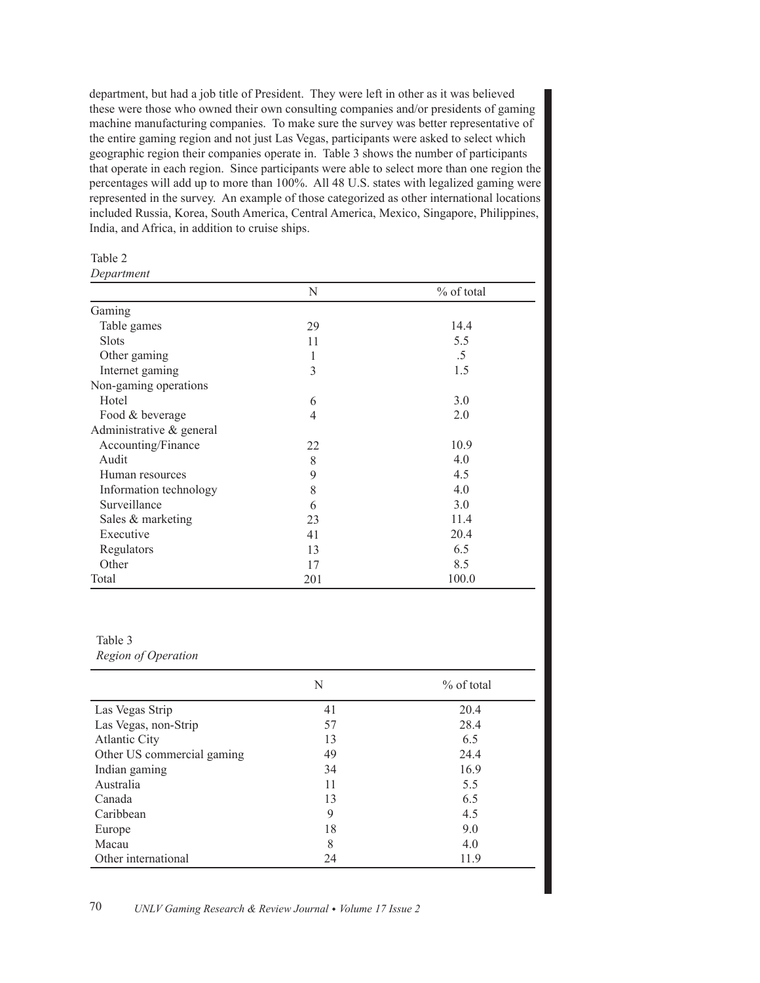department, but had a job title of President. They were left in other as it was believed these were those who owned their own consulting companies and/or presidents of gaming machine manufacturing companies. To make sure the survey was better representative of the entire gaming region and not just Las Vegas, participants were asked to select which geographic region their companies operate in. Table 3 shows the number of participants that operate in each region. Since participants were able to select more than one region the percentages will add up to more than 100%. All 48 U.S. states with legalized gaming were represented in the survey. An example of those categorized as other international locations included Russia, Korea, South America, Central America, Mexico, Singapore, Philippines, India, and Africa, in addition to cruise ships.

*Department*

|                          | N   | % of total |
|--------------------------|-----|------------|
| Gaming                   |     |            |
| Table games              | 29  | 14.4       |
| <b>Slots</b>             | 11  | 5.5        |
| Other gaming             | 1   | .5         |
| Internet gaming          | 3   | 1.5        |
| Non-gaming operations    |     |            |
| Hotel                    | 6   | 3.0        |
| Food & beverage          | 4   | 2.0        |
| Administrative & general |     |            |
| Accounting/Finance       | 22  | 10.9       |
| Audit                    | 8   | 4.0        |
| Human resources          | 9   | 4.5        |
| Information technology   | 8   | 4.0        |
| Surveillance             | 6   | 3.0        |
| Sales & marketing        | 23  | 11.4       |
| Executive                | 41  | 20.4       |
| Regulators               | 13  | 6.5        |
| Other                    | 17  | 8.5        |
| Total                    | 201 | 100.0      |

# Table 3

*Region of Operation*

|                            | N  | % of total |
|----------------------------|----|------------|
| Las Vegas Strip            | 41 | 20.4       |
| Las Vegas, non-Strip       | 57 | 28.4       |
| <b>Atlantic City</b>       | 13 | 6.5        |
| Other US commercial gaming | 49 | 24.4       |
| Indian gaming              | 34 | 16.9       |
| Australia                  | 11 | 5.5        |
| Canada                     | 13 | 6.5        |
| Caribbean                  | 9  | 4.5        |
| Europe                     | 18 | 9.0        |
| Macau                      | 8  | 4.0        |
| Other international        | 24 | 11.9       |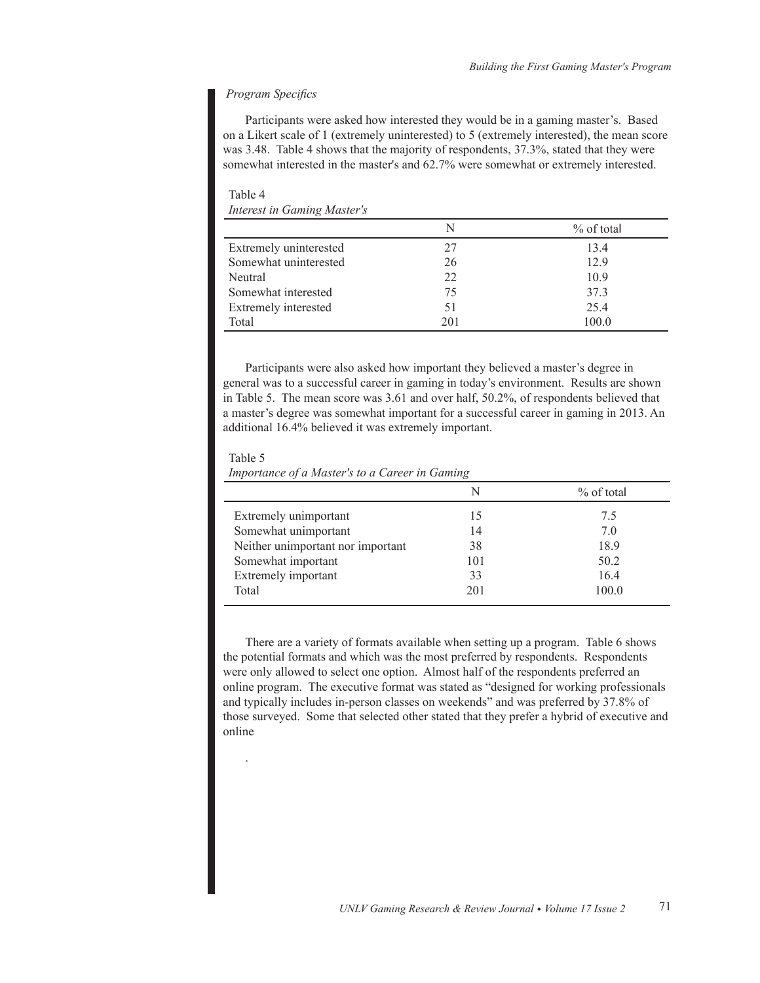# *Program Specifics*

Participants were asked how interested they would be in a gaming master's. Based on a Likert scale of 1 (extremely uninterested) to 5 (extremely interested), the mean score was 3.48. Table 4 shows that the majority of respondents, 37.3%, stated that they were somewhat interested in the master's and 62.7% were somewhat or extremely interested.

Table 4 *Interest in Gaming Master's*

|                        | N   | $%$ of total |
|------------------------|-----|--------------|
| Extremely uninterested | 27  | 13.4         |
| Somewhat uninterested  | 26  | 129          |
| Neutral                | 22  | 10.9         |
| Somewhat interested    | 75  | 37.3         |
| Extremely interested   | 51  | 25.4         |
| Total                  | 201 | 100.0        |

Participants were also asked how important they believed a master's degree in general was to a successful career in gaming in today's environment. Results are shown in Table 5. The mean score was 3.61 and over half, 50.2%, of respondents believed that a master's degree was somewhat important for a successful career in gaming in 2013. An additional 16.4% believed it was extremely important.

Table 5

.

*Importance of a Master's to a Career in Gaming*

|                                   |     | $%$ of total |
|-----------------------------------|-----|--------------|
| Extremely unimportant             | 15  | 7.5          |
| Somewhat unimportant              | 14  | 7.0          |
| Neither unimportant nor important | 38  | 18.9         |
| Somewhat important                | 101 | 50.2         |
| Extremely important               | 33  | 16.4         |
| Total                             | 201 | 100.0        |
|                                   |     |              |

There are a variety of formats available when setting up a program. Table 6 shows the potential formats and which was the most preferred by respondents. Respondents were only allowed to select one option. Almost half of the respondents preferred an online program. The executive format was stated as "designed for working professionals" and typically includes in-person classes on weekends" and was preferred by 37.8% of those surveyed. Some that selected other stated that they prefer a hybrid of executive and online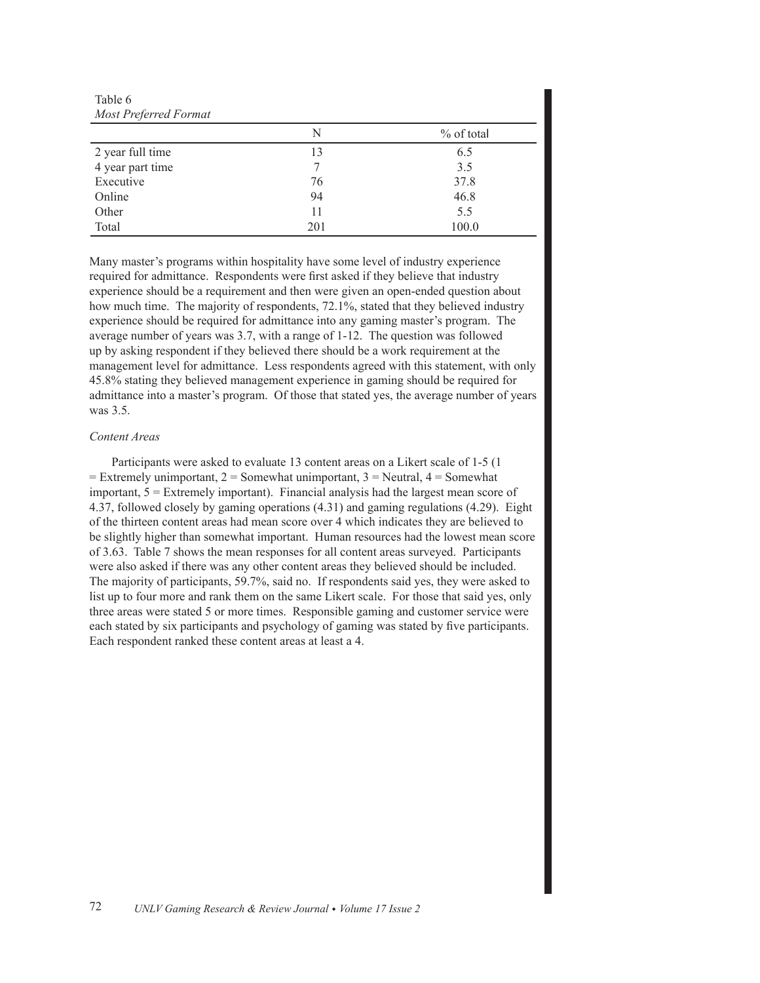Table 6 *Most Preferred Format*

| Most Preferred Format |     |              |  |  |
|-----------------------|-----|--------------|--|--|
|                       | N   | $%$ of total |  |  |
| 2 year full time      | 13  | 6.5          |  |  |
| 4 year part time      |     | 3.5          |  |  |
| Executive             | 76  | 37.8         |  |  |
| Online                | 94  | 46.8         |  |  |
| Other                 | 11  | 5.5          |  |  |
| Total                 | 201 | 100.0        |  |  |

Many master's programs within hospitality have some level of industry experience required for admittance. Respondents were first asked if they believe that industry experience should be a requirement and then were given an open-ended question about how much time. The majority of respondents, 72.1%, stated that they believed industry experience should be required for admittance into any gaming master's program. The average number of years was 3.7, with a range of  $1-12$ . The question was followed up by asking respondent if they believed there should be a work requirement at the management level for admittance. Less respondents agreed with this statement, with only 45.8% stating they believed management experience in gaming should be required for admittance into a master's program. Of those that stated yes, the average number of years was 3.5.

# *Content Areas*

Participants were asked to evaluate 13 content areas on a Likert scale of 1-5 (1) = Extremely unimportant,  $2$  = Somewhat unimportant,  $3$  = Neutral,  $4$  = Somewhat important,  $5 =$  Extremely important). Financial analysis had the largest mean score of 4.37, followed closely by gaming operations  $(4.31)$  and gaming regulations  $(4.29)$ . Eight of the thirteen content areas had mean score over 4 which indicates they are believed to be slightly higher than somewhat important. Human resources had the lowest mean score of 3.63. Table 7 shows the mean responses for all content areas surveyed. Participants were also asked if there was any other content areas they believed should be included. The majority of participants, 59.7%, said no. If respondents said yes, they were asked to list up to four more and rank them on the same Likert scale. For those that said yes, only three areas were stated 5 or more times. Responsible gaming and customer service were each stated by six participants and psychology of gaming was stated by five participants. Each respondent ranked these content areas at least a 4.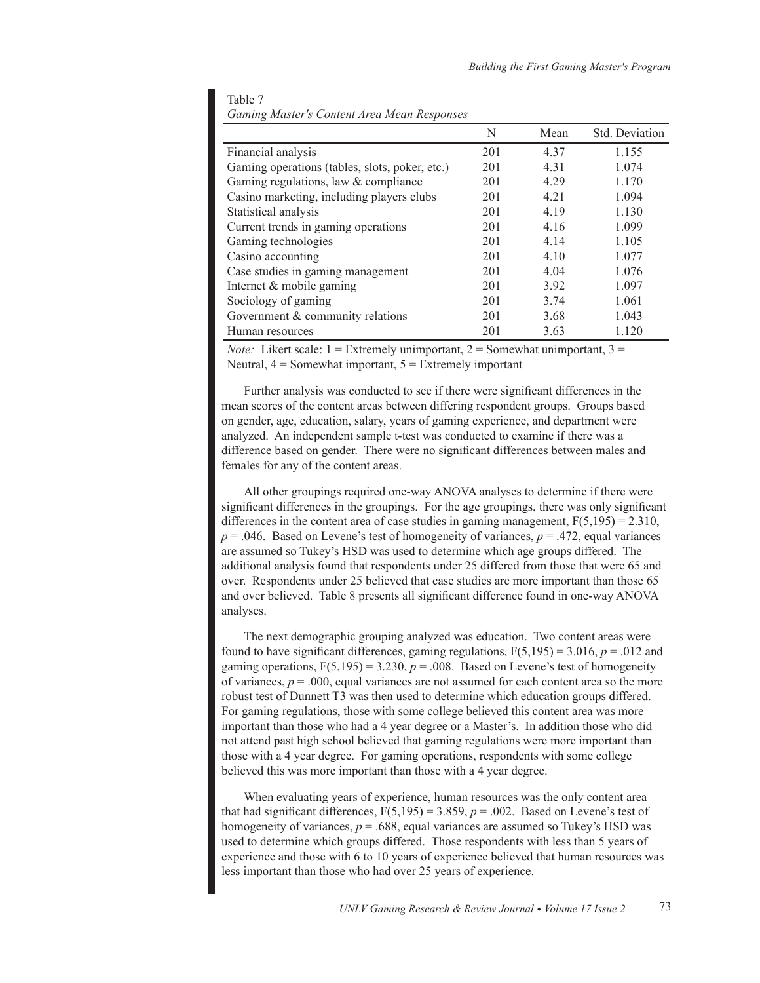|                                                | N   | Mean  | Std. Deviation |
|------------------------------------------------|-----|-------|----------------|
| Financial analysis                             | 201 | 4.37  | 1.155          |
| Gaming operations (tables, slots, poker, etc.) | 201 | 4.31  | 1.074          |
| Gaming regulations, law & compliance           | 201 | 4.29  | 1.170          |
| Casino marketing, including players clubs      | 201 | 4 2 1 | 1.094          |
| Statistical analysis                           | 201 | 4 1 9 | 1.130          |
| Current trends in gaming operations            | 201 | 4.16  | 1.099          |
| Gaming technologies                            | 201 | 4 14  | 1.105          |
| Casino accounting                              | 201 | 4 1 0 | 1.077          |
| Case studies in gaming management              | 201 | 4.04  | 1.076          |
| Internet & mobile gaming                       | 201 | 3.92  | 1.097          |
| Sociology of gaming                            | 201 | 3.74  | 1.061          |
| Government & community relations               | 201 | 3.68  | 1.043          |
| Human resources                                | 201 | 3.63  | 1.120          |

| Table 7                                     |  |
|---------------------------------------------|--|
| Gaming Master's Content Area Mean Responses |  |

*Note:* Likert scale:  $1 =$  Extremely unimportant,  $2 =$  Somewhat unimportant,  $3 =$ Neutral,  $4 =$  Somewhat important,  $5 =$  Extremely important

Further analysis was conducted to see if there were significant differences in the mean scores of the content areas between differing respondent groups. Groups based on gender, age, education, salary, years of gaming experience, and department were analyzed. An independent sample t-test was conducted to examine if there was a difference based on gender. There were no significant differences between males and females for any of the content areas.

All other groupings required one-way ANOVA analyses to determine if there were significant differences in the groupings. For the age groupings, there was only significant differences in the content area of case studies in gaming management,  $F(5,195) = 2.310$ ,  $p = 0.046$ . Based on Levene's test of homogeneity of variances,  $p = 0.472$ , equal variances are assumed so Tukey's HSD was used to determine which age groups differed. The additional analysis found that respondents under 25 differed from those that were 65 and over. Respondents under 25 believed that case studies are more important than those 65 and over believed. Table 8 presents all significant difference found in one-way ANOVA analyses.

The next demographic grouping analyzed was education. Two content areas were found to have significant differences, gaming regulations,  $F(5.195) = 3.016$ ,  $p = .012$  and gaming operations,  $F(5,195) = 3.230$ ,  $p = .008$ . Based on Levene's test of homogeneity of variances,  $p = .000$ , equal variances are not assumed for each content area so the more robust test of Dunnett T3 was then used to determine which education groups differed. For gaming regulations, those with some college believed this content area was more important than those who had a 4 year degree or a Master's. In addition those who did not attend past high school believed that gaming regulations were more important than those with a 4 year degree. For gaming operations, respondents with some college believed this was more important than those with a 4 year degree.

When evaluating years of experience, human resources was the only content area that had significant differences,  $F(5,195) = 3.859$ ,  $p = .002$ . Based on Levene's test of homogeneity of variances,  $p = .688$ , equal variances are assumed so Tukey's HSD was used to determine which groups differed. Those respondents with less than 5 years of experience and those with 6 to 10 years of experience believed that human resources was less important than those who had over 25 years of experience.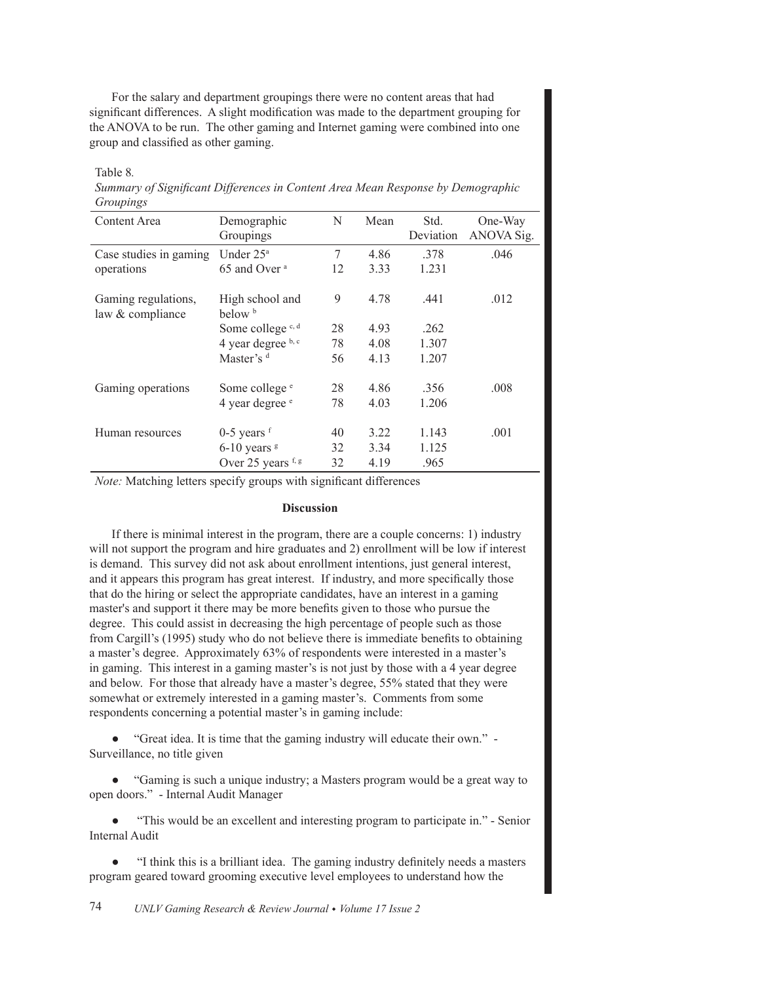For the salary and department groupings there were no content areas that had significant differences. A slight modification was made to the department grouping for the ANOVA to be run. The other gaming and Internet gaming were combined into one group and classified as other gaming.

# Table 8.

Summary of Significant Differences in Content Area Mean Response by Demographic *Groupings*

| Content Area                            | Demographic<br>Groupings              | N  | Mean | Std.<br>Deviation | One-Way<br>ANOVA Sig. |
|-----------------------------------------|---------------------------------------|----|------|-------------------|-----------------------|
| Case studies in gaming                  | Under 25 <sup>a</sup>                 | 7  | 4.86 | .378              | .046                  |
| operations                              | 65 and Over <sup>a</sup>              | 12 | 3.33 | 1.231             |                       |
| Gaming regulations,<br>law & compliance | High school and<br>below <sup>b</sup> | 9  | 4.78 | .441              | .012                  |
|                                         | Some college $c, d$                   | 28 | 4.93 | .262              |                       |
|                                         | 4 year degree b, c                    | 78 | 4.08 | 1.307             |                       |
|                                         | Master's d                            | 56 | 4.13 | 1.207             |                       |
| Gaming operations                       | Some college <sup>e</sup>             | 28 | 4.86 | .356              | .008                  |
|                                         | 4 year degree <sup>e</sup>            | 78 | 4.03 | 1.206             |                       |
| Human resources                         | $0-5$ years $f$                       | 40 | 3.22 | 1.143             | .001                  |
|                                         | $6-10$ years $\frac{8}{3}$            | 32 | 3.34 | 1.125             |                       |
|                                         | Over 25 years f, g                    | 32 | 4.19 | .965              |                       |

*Note:* Matching letters specify groups with significant differences

# **Discussion**

If there is minimal interest in the program, there are a couple concerns: 1) industry will not support the program and hire graduates and 2) enrollment will be low if interest is demand. This survey did not ask about enrollment intentions, just general interest, and it appears this program has great interest. If industry, and more specifically those that do the hiring or select the appropriate candidates, have an interest in a gaming master's and support it there may be more benefits given to those who pursue the degree. This could assist in decreasing the high percentage of people such as those from Cargill's (1995) study who do not believe there is immediate benefits to obtaining a master's degree. Approximately 63% of respondents were interested in a master's in gaming. This interest in a gaming master's is not just by those with a 4 year degree and below. For those that already have a master's degree, 55% stated that they were somewhat or extremely interested in a gaming master's. Comments from some respondents concerning a potential master's in gaming include:

• "Great idea. It is time that the gaming industry will educate their own." -Surveillance, no title given

• "Gaming is such a unique industry; a Masters program would be a great way to open doors." - Internal Audit Manager

"This would be an excellent and interesting program to participate in." - Senior Internal Audit

"I think this is a brilliant idea. The gaming industry definitely needs a masters program geared toward grooming executive level employees to understand how the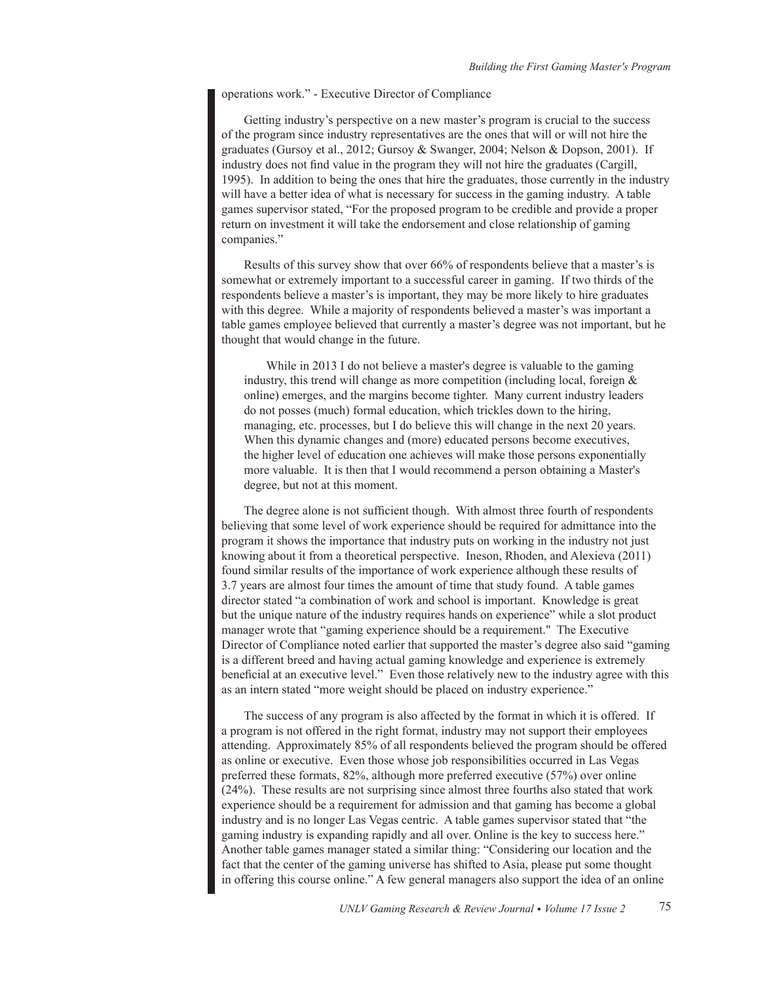operations work." - Executive Director of Compliance

Getting industry's perspective on a new master's program is crucial to the success of the program since industry representatives are the ones that will or will not hire the graduates (Gursoy et al., 2012; Gursoy & Swanger, 2004; Nelson & Dopson, 2001). If industry does not find value in the program they will not hire the graduates (Cargill, 1995). In addition to being the ones that hire the graduates, those currently in the industry will have a better idea of what is necessary for success in the gaming industry. A table games supervisor stated, "For the proposed program to be credible and provide a proper return on investment it will take the endorsement and close relationship of gaming companies."

Results of this survey show that over 66% of respondents believe that a master's is somewhat or extremely important to a successful career in gaming. If two thirds of the respondents believe a master's is important, they may be more likely to hire graduates with this degree. While a majority of respondents believed a master's was important a table games employee believed that currently a master's degree was not important, but he thought that would change in the future.

While in 2013 I do not believe a master's degree is valuable to the gaming industry, this trend will change as more competition (including local, foreign  $\&$ online) emerges, and the margins become tighter. Many current industry leaders do not posses (much) formal education, which trickles down to the hiring, managing, etc. processes, but I do believe this will change in the next 20 years. When this dynamic changes and (more) educated persons become executives, the higher level of education one achieves will make those persons exponentially more valuable. It is then that I would recommend a person obtaining a Master's degree, but not at this moment.

The degree alone is not sufficient though. With almost three fourth of respondents believing that some level of work experience should be required for admittance into the program it shows the importance that industry puts on working in the industry not just knowing about it from a theoretical perspective. Ineson, Rhoden, and Alexieva (2011) found similar results of the importance of work experience although these results of  $\text{3.7}$  years are almost four times the amount of time that study found. A table games director stated "a combination of work and school is important. Knowledge is great but the unique nature of the industry requires hands on experience" while a slot product manager wrote that "gaming experience should be a requirement." The Executive Director of Compliance noted earlier that supported the master's degree also said "gaming" is a different breed and having actual gaming knowledge and experience is extremely beneficial at an executive level." Even those relatively new to the industry agree with this as an intern stated "more weight should be placed on industry experience."

The success of any program is also affected by the format in which it is offered. If a program is not offered in the right format, industry may not support their employees attending. Approximately 85% of all respondents believed the program should be offered as online or executive. Even those whose job responsibilities occurred in Las Vegas preferred these formats,  $82\%$ , although more preferred executive  $(57\%)$  over online  $(24\%)$ . These results are not surprising since almost three fourths also stated that work experience should be a requirement for admission and that gaming has become a global industry and is no longer Las Vegas centric. A table games supervisor stated that "the gaming industry is expanding rapidly and all over. Online is the key to success here." Another table games manager stated a similar thing: "Considering our location and the fact that the center of the gaming universe has shifted to Asia, please put some thought in offering this course online." A few general managers also support the idea of an online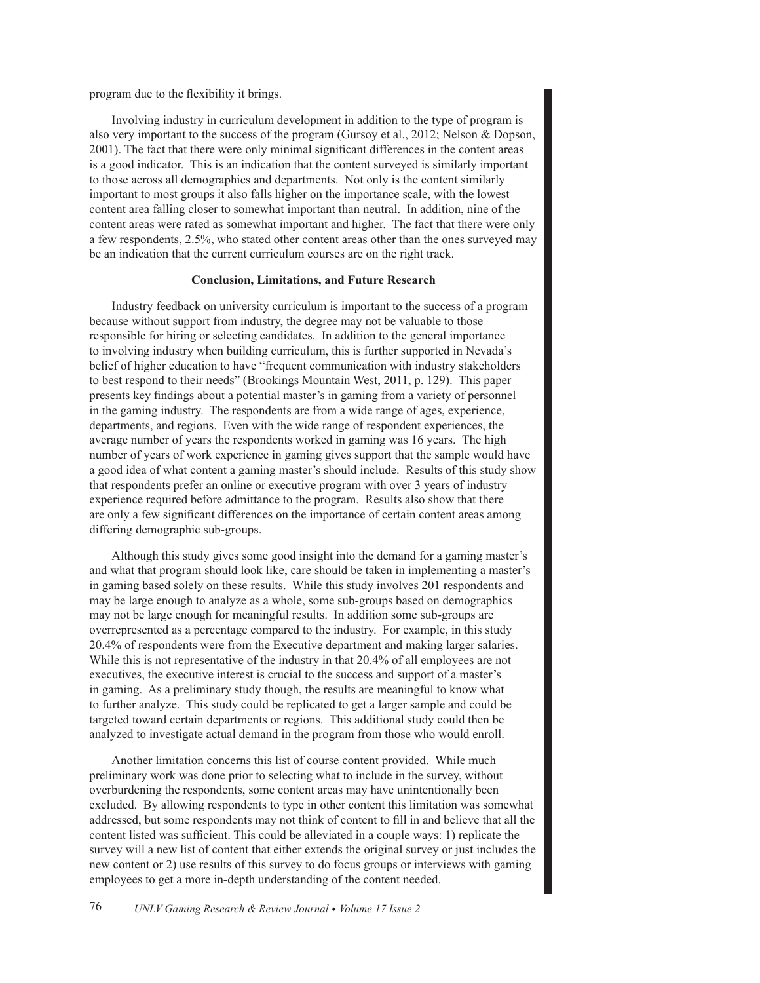program due to the flexibility it brings.

Involving industry in curriculum development in addition to the type of program is also very important to the success of the program (Gursoy et al., 2012; Nelson & Dopson, 2001). The fact that there were only minimal significant differences in the content areas is a good indicator. This is an indication that the content surveyed is similarly important to those across all demographics and departments. Not only is the content similarly important to most groups it also falls higher on the importance scale, with the lowest content area falling closer to somewhat important than neutral. In addition, nine of the content areas were rated as somewhat important and higher. The fact that there were only a few respondents,  $2.5\%$ , who stated other content areas other than the ones surveyed may be an indication that the current curriculum courses are on the right track.

# **Conclusion, Limitations, and Future Research**

Industry feedback on university curriculum is important to the success of a program because without support from industry, the degree may not be valuable to those responsible for hiring or selecting candidates. In addition to the general importance to involving industry when building curriculum, this is further supported in Nevada's belief of higher education to have "frequent communication with industry stakeholders to best respond to their needs" (Brookings Mountain West, 2011, p. 129). This paper presents key findings about a potential master's in gaming from a variety of personnel in the gaming industry. The respondents are from a wide range of ages, experience, departments, and regions. Even with the wide range of respondent experiences, the average number of years the respondents worked in gaming was 16 years. The high number of years of work experience in gaming gives support that the sample would have a good idea of what content a gaming master's should include. Results of this study show that respondents prefer an online or executive program with over 3 years of industry experience required before admittance to the program. Results also show that there are only a few significant differences on the importance of certain content areas among differing demographic sub-groups.

Although this study gives some good insight into the demand for a gaming master's and what that program should look like, care should be taken in implementing a master's in gaming based solely on these results. While this study involves 201 respondents and may be large enough to analyze as a whole, some sub-groups based on demographics may not be large enough for meaningful results. In addition some sub-groups are overrepresented as a percentage compared to the industry. For example, in this study 20.4% of respondents were from the Executive department and making larger salaries. While this is not representative of the industry in that 20.4% of all employees are not executives, the executive interest is crucial to the success and support of a master's in gaming. As a preliminary study though, the results are meaningful to know what to further analyze. This study could be replicated to get a larger sample and could be targeted toward certain departments or regions. This additional study could then be analyzed to investigate actual demand in the program from those who would enroll.

Another limitation concerns this list of course content provided. While much preliminary work was done prior to selecting what to include in the survey, without overburdening the respondents, some content areas may have unintentionally been excluded. By allowing respondents to type in other content this limitation was somewhat addressed, but some respondents may not think of content to fill in and believe that all the content listed was sufficient. This could be alleviated in a couple ways: 1) replicate the survey will a new list of content that either extends the original survey or just includes the new content or 2) use results of this survey to do focus groups or interviews with gaming employees to get a more in-depth understanding of the content needed.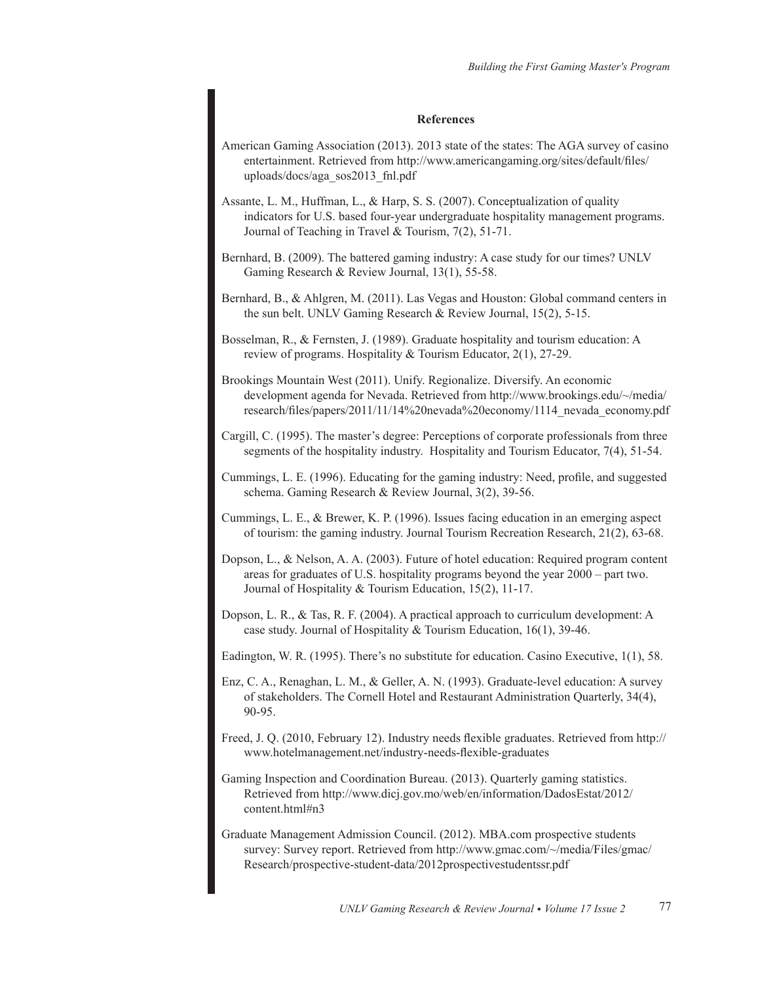# **References**

American Gaming Association (2013). 2013 state of the states: The AGA survey of casino entertainment. Retrieved from http://www.americangaming.org/sites/default/files/ uploads/docs/aga sos2013 fnl.pdf

Assante, L. M., Huffman, L., & Harp, S. S. (2007). Conceptualization of quality indicators for U.S. based four-year undergraduate hospitality management programs. Journal of Teaching in Travel & Tourism,  $7(2)$ , 51-71.

Bernhard, B. (2009). The battered gaming industry: A case study for our times? UNLV Gaming Research & Review Journal, 13(1), 55-58.

Bernhard, B., & Ahlgren, M. (2011). Las Vegas and Houston: Global command centers in the sun belt. UNLV Gaming Research & Review Journal,  $15(2)$ ,  $5-15$ .

Bosselman, R., & Fernsten, J. (1989). Graduate hospitality and tourism education: A review of programs. Hospitality & Tourism Educator,  $2(1)$ , 27-29.

Brookings Mountain West (2011). Unify. Regionalize. Diversify. An economic development agenda for Nevada. Retrieved from http://www.brookings.edu/~/media/ research/files/papers/2011/11/14%20nevada%20economy/1114\_nevada\_economy.pdf

Cargill, C. (1995). The master's degree: Perceptions of corporate professionals from three segments of the hospitality industry. Hospitality and Tourism Educator,  $7(4)$ , 51-54.

Cummings, L. E. (1996). Educating for the gaming industry: Need, profile, and suggested schema. Gaming Research & Review Journal, 3(2), 39-56.

Cummings, L. E.,  $&$  Brewer, K. P. (1996). Issues facing education in an emerging aspect of tourism: the gaming industry. Journal Tourism Recreation Research, 21(2), 63-68.

Dopson, L., & Nelson, A. A. (2003). Future of hotel education: Required program content areas for graduates of U.S. hospitality programs beyond the year 2000 - part two. Journal of Hospitality & Tourism Education,  $15(2)$ ,  $11-17$ .

Dopson, L. R., & Tas, R. F. (2004). A practical approach to curriculum development: A case study. Journal of Hospitality & Tourism Education,  $16(1)$ , 39-46.

Eadington, W. R. (1995). There's no substitute for education. Casino Executive,  $1(1)$ , 58.

Enz, C. A., Renaghan, L. M., & Geller, A. N. (1993). Graduate-level education: A survey of stakeholders. The Cornell Hotel and Restaurant Administration Quarterly, 34(4), 90-95.

Freed, J. Q. (2010, February 12). Industry needs flexible graduates. Retrieved from http:// www.hotelmanagement.net/industry-needs-flexible-graduates

Gaming Inspection and Coordination Bureau. (2013). Quarterly gaming statistics. Retrieved from http://www.dicj.gov.mo/web/en/information/DadosEstat/2012/ content.html#n3

Graduate Management Admission Council. (2012). MBA com prospective students survey: Survey report. Retrieved from http://www.gmac.com/~/media/Files/gmac/ Research/prospective-student-data/2012prospectivestudentssr.pdf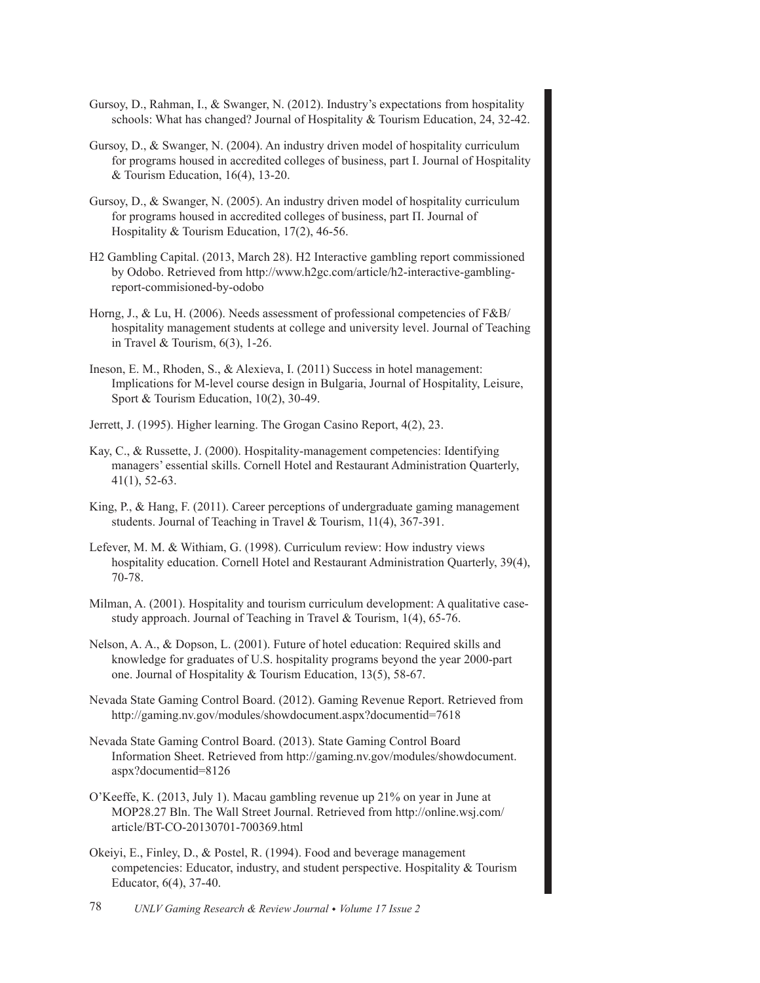- Gursoy, D., Rahman, I., & Swanger, N. (2012). Industry's expectations from hospitality schools: What has changed? Journal of Hospitality & Tourism Education, 24, 32-42.
- Gursoy, D., & Swanger, N. (2004). An industry driven model of hospitality curriculum for programs housed in accredited colleges of business, part I. Journal of Hospitality & Tourism Education,  $16(4)$ , 13-20.
- Gursoy, D., & Swanger, N. (2005). An industry driven model of hospitality curriculum for programs housed in accredited colleges of business, part  $\Pi$ . Journal of Hospitality & Tourism Education,  $17(2)$ , 46-56.
- H2 Gambling Capital. (2013, March 28). H2 Interactive gambling report commissioned by Odobo. Retrieved from http://www.h2gc.com/article/h2-interactive-gamblingreport-commisioned-by-odobo
- Horng, J., & Lu, H. (2006). Needs assessment of professional competencies of F&B/ hospitality management students at college and university level. Journal of Teaching in Travel & Tourism,  $6(3)$ , 1-26.
- Ineson, E. M., Rhoden, S., & Alexieva, I. (2011) Success in hotel management: Implications for M-level course design in Bulgaria, Journal of Hospitality, Leisure, Sport & Tourism Education,  $10(2)$ ,  $30-49$ .
- Jerrett, J. (1995). Higher learning. The Grogan Casino Report, 4(2), 23.
- Kay, C., & Russette, J. (2000). Hospitality-management competencies: Identifying managers' essential skills. Cornell Hotel and Restaurant Administration Quarterly,  $41(1)$ , 52-63.
- King, P., & Hang, F. (2011). Career perceptions of undergraduate gaming management students. Journal of Teaching in Travel & Tourism,  $11(4)$ ,  $367-391$ .
- Lefever, M. M. & Withiam, G. (1998). Curriculum review: How industry views hospitality education. Cornell Hotel and Restaurant Administration Quarterly, 39(4), 70-78.
- Milman, A. (2001). Hospitality and tourism curriculum development: A qualitative casestudy approach. Journal of Teaching in Travel & Tourism,  $1(4)$ , 65-76.
- Nelson, A. A.,  $\&$  Dopson, L. (2001). Future of hotel education: Required skills and knowledge for graduates of U.S. hospitality programs beyond the year 2000-part one. Journal of Hospitality & Tourism Education,  $13(5)$ , 58-67.
- Nevada State Gaming Control Board. (2012). Gaming Revenue Report. Retrieved from http://gaming.nv.gov/modules/showdocument.aspx?documentid=7618
- Nevada State Gaming Control Board. (2013). State Gaming Control Board Information Sheet. Retrieved from http://gaming.nv.gov/modules/showdocument. aspx?documentid=8126
- O'Keeffe, K. (2013, July 1). Macau gambling revenue up 21% on year in June at MOP28.27 Bln. The Wall Street Journal. Retrieved from http://online.wsj.com/ article/BT-CO-20130701-700369.html
- Okeiyi, E., Finley, D., & Postel, R. (1994). Food and beverage management competencies: Educator, industry, and student perspective. Hospitality  $\&$  Tourism Educator,  $6(4)$ , 37-40.